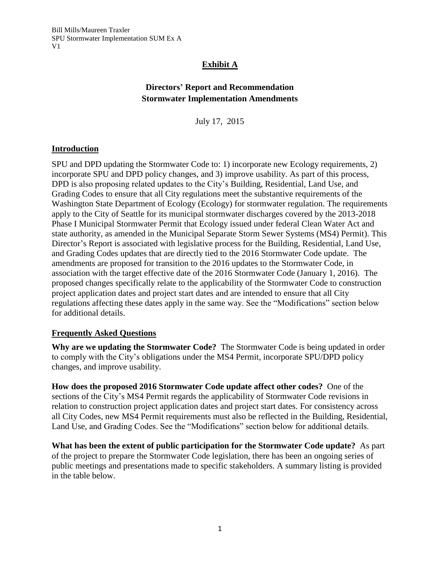## **Exhibit A**

# **Directors' Report and Recommendation Stormwater Implementation Amendments**

July 17, 2015

#### **Introduction**

SPU and DPD updating the Stormwater Code to: 1) incorporate new Ecology requirements, 2) incorporate SPU and DPD policy changes, and 3) improve usability. As part of this process, DPD is also proposing related updates to the City's Building, Residential, Land Use, and Grading Codes to ensure that all City regulations meet the substantive requirements of the Washington State Department of Ecology (Ecology) for stormwater regulation. The requirements apply to the City of Seattle for its municipal stormwater discharges covered by the 2013-2018 Phase I Municipal Stormwater Permit that Ecology issued under federal Clean Water Act and state authority, as amended in the Municipal Separate Storm Sewer Systems (MS4) Permit). This Director's Report is associated with legislative process for the Building, Residential, Land Use, and Grading Codes updates that are directly tied to the 2016 Stormwater Code update. The amendments are proposed for transition to the 2016 updates to the Stormwater Code, in association with the target effective date of the 2016 Stormwater Code (January 1, 2016). The proposed changes specifically relate to the applicability of the Stormwater Code to construction project application dates and project start dates and are intended to ensure that all City regulations affecting these dates apply in the same way. See the "Modifications" section below for additional details.

#### **Frequently Asked Questions**

**Why are we updating the Stormwater Code?** The Stormwater Code is being updated in order to comply with the City's obligations under the MS4 Permit*,* incorporate SPU/DPD policy changes, and improve usability.

**How does the proposed 2016 Stormwater Code update affect other codes?** One of the sections of the City's MS4 Permit regards the applicability of Stormwater Code revisions in relation to construction project application dates and project start dates. For consistency across all City Codes, new MS4 Permit requirements must also be reflected in the Building, Residential, Land Use, and Grading Codes. See the "Modifications" section below for additional details.

**What has been the extent of public participation for the Stormwater Code update?** As part of the project to prepare the Stormwater Code legislation, there has been an ongoing series of public meetings and presentations made to specific stakeholders. A summary listing is provided in the table below.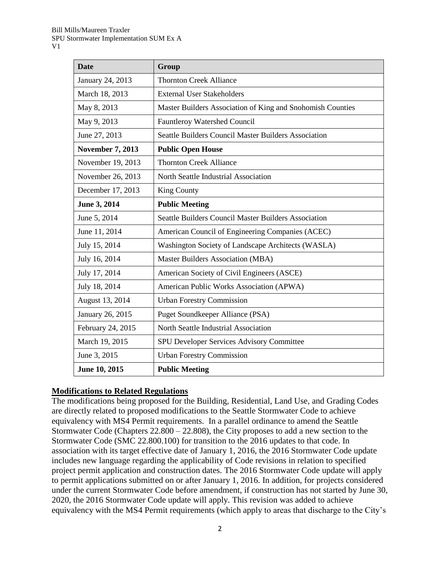| <b>Date</b>             | Group                                                      |
|-------------------------|------------------------------------------------------------|
| January 24, 2013        | <b>Thornton Creek Alliance</b>                             |
| March 18, 2013          | <b>External User Stakeholders</b>                          |
| May 8, 2013             | Master Builders Association of King and Snohomish Counties |
| May 9, 2013             | <b>Fauntleroy Watershed Council</b>                        |
| June 27, 2013           | Seattle Builders Council Master Builders Association       |
| <b>November 7, 2013</b> | <b>Public Open House</b>                                   |
| November 19, 2013       | <b>Thornton Creek Alliance</b>                             |
| November 26, 2013       | North Seattle Industrial Association                       |
| December 17, 2013       | <b>King County</b>                                         |
| June 3, 2014            | <b>Public Meeting</b>                                      |
| June 5, 2014            | Seattle Builders Council Master Builders Association       |
| June 11, 2014           | American Council of Engineering Companies (ACEC)           |
| July 15, 2014           | Washington Society of Landscape Architects (WASLA)         |
| July 16, 2014           | Master Builders Association (MBA)                          |
| July 17, 2014           | American Society of Civil Engineers (ASCE)                 |
| July 18, 2014           | American Public Works Association (APWA)                   |
| August 13, 2014         | <b>Urban Forestry Commission</b>                           |
| January 26, 2015        | Puget Soundkeeper Alliance (PSA)                           |
| February 24, 2015       | North Seattle Industrial Association                       |
| March 19, 2015          | SPU Developer Services Advisory Committee                  |
| June 3, 2015            | <b>Urban Forestry Commission</b>                           |
| June 10, 2015           | <b>Public Meeting</b>                                      |

## **Modifications to Related Regulations**

The modifications being proposed for the Building, Residential, Land Use, and Grading Codes are directly related to proposed modifications to the Seattle Stormwater Code to achieve equivalency with MS4 Permit requirements. In a parallel ordinance to amend the Seattle Stormwater Code (Chapters 22.800 – 22.808), the City proposes to add a new section to the Stormwater Code (SMC 22.800.100) for transition to the 2016 updates to that code. In association with its target effective date of January 1, 2016, the 2016 Stormwater Code update includes new language regarding the applicability of Code revisions in relation to specified project permit application and construction dates. The 2016 Stormwater Code update will apply to permit applications submitted on or after January 1, 2016. In addition, for projects considered under the current Stormwater Code before amendment, if construction has not started by June 30, 2020, the 2016 Stormwater Code update will apply. This revision was added to achieve equivalency with the MS4 Permit requirements (which apply to areas that discharge to the City's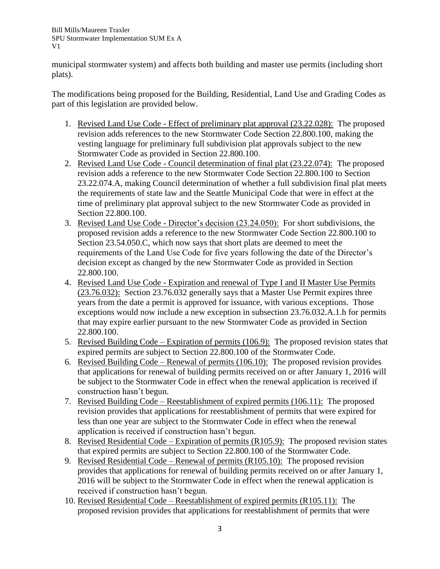Bill Mills/Maureen Traxler SPU Stormwater Implementation SUM Ex A V1

municipal stormwater system) and affects both building and master use permits (including short plats).

The modifications being proposed for the Building, Residential, Land Use and Grading Codes as part of this legislation are provided below.

- 1. Revised Land Use Code Effect of preliminary plat approval (23.22.028): The proposed revision adds references to the new Stormwater Code Section 22.800.100, making the vesting language for preliminary full subdivision plat approvals subject to the new Stormwater Code as provided in Section 22.800.100.
- 2. Revised Land Use Code Council determination of final plat (23.22.074): The proposed revision adds a reference to the new Stormwater Code Section 22.800.100 to Section 23.22.074.A, making Council determination of whether a full subdivision final plat meets the requirements of state law and the Seattle Municipal Code that were in effect at the time of preliminary plat approval subject to the new Stormwater Code as provided in Section 22.800.100.
- 3. Revised Land Use Code Director's decision (23.24.050): For short subdivisions, the proposed revision adds a reference to the new Stormwater Code Section 22.800.100 to Section 23.54.050.C, which now says that short plats are deemed to meet the requirements of the Land Use Code for five years following the date of the Director's decision except as changed by the new Stormwater Code as provided in Section 22.800.100.
- 4. Revised Land Use Code Expiration and renewal of Type I and II Master Use Permits (23.76.032): Section 23.76.032 generally says that a Master Use Permit expires three years from the date a permit is approved for issuance, with various exceptions. Those exceptions would now include a new exception in subsection 23.76.032.A.1.h for permits that may expire earlier pursuant to the new Stormwater Code as provided in Section 22.800.100.
- 5. Revised Building Code Expiration of permits (106.9): The proposed revision states that expired permits are subject to Section 22.800.100 of the Stormwater Code.
- 6. Revised Building Code Renewal of permits (106.10): The proposed revision provides that applications for renewal of building permits received on or after January 1, 2016 will be subject to the Stormwater Code in effect when the renewal application is received if construction hasn't begun.
- 7. Revised Building Code Reestablishment of expired permits (106.11): The proposed revision provides that applications for reestablishment of permits that were expired for less than one year are subject to the Stormwater Code in effect when the renewal application is received if construction hasn't begun.
- 8. Revised Residential Code Expiration of permits (R105.9): The proposed revision states that expired permits are subject to Section 22.800.100 of the Stormwater Code.
- 9. Revised Residential Code Renewal of permits (R105.10): The proposed revision provides that applications for renewal of building permits received on or after January 1, 2016 will be subject to the Stormwater Code in effect when the renewal application is received if construction hasn't begun.
- 10. Revised Residential Code Reestablishment of expired permits (R105.11): The proposed revision provides that applications for reestablishment of permits that were